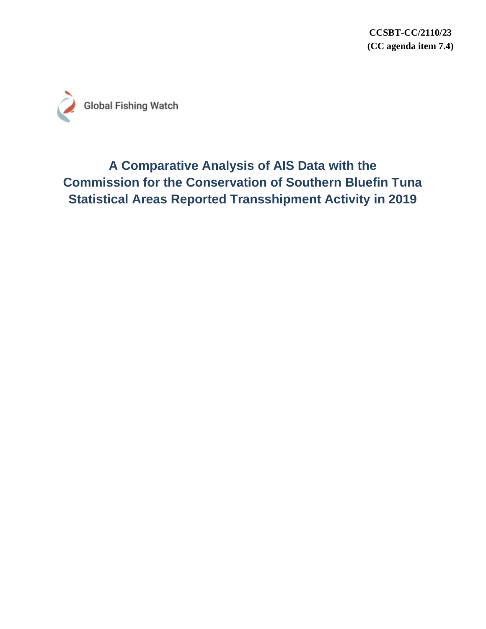**CCSBT-CC/2110/23 (CC agenda item 7.4)**



# **A Comparative Analysis of AIS Data with the Commission for the Conservation of Southern Bluefin Tuna Statistical Areas Reported Transshipment Activity in 2019**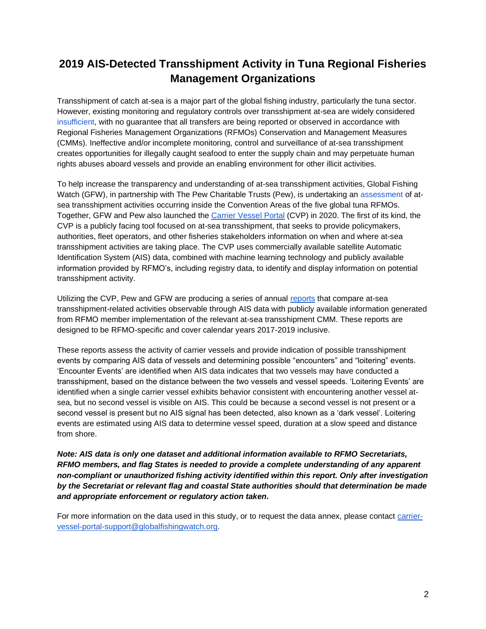# **2019 AIS-Detected Transshipment Activity in Tuna Regional Fisheries Management Organizations**

Transshipment of catch at-sea is a major part of the global fishing industry, particularly the tuna sector. However, existing monitoring and regulatory controls over transshipment at-sea are widely considered [insufficient,](http://www.fao.org/iuu-fishing/news-events/detail/en/c/1145065/) with no guarantee that all transfers are being reported or observed in accordance with Regional Fisheries Management Organizations (RFMOs) Conservation and Management Measures (CMMs). Ineffective and/or incomplete monitoring, control and surveillance of at-sea transshipment creates opportunities for illegally caught seafood to enter the supply chain and may perpetuate human rights abuses aboard vessels and provide an enabling environment for other illicit activities.

To help increase the transparency and understanding of at-sea transshipment activities, Global Fishing Watch (GFW), in partnership with The Pew Charitable Trusts (Pew), is undertaking an [assessment](https://globalfishingwatch.org/rfmo-transshipment/) of atsea transshipment activities occurring inside the Convention Areas of the five global tuna RFMOs. Together, GFW and Pew also launched the [Carrier Vessel Portal](https://globalfishingwatch.org/carrier-vessel-portal/) (CVP) in 2020. The first of its kind, the CVP is a publicly facing tool focused on at-sea transshipment, that seeks to provide policymakers, authorities, fleet operators, and other fisheries stakeholders information on when and where at-sea transshipment activities are taking place. The CVP uses commercially available satellite Automatic Identification System (AIS) data, combined with machine learning technology and publicly available information provided by RFMO's, including registry data, to identify and display information on potential transshipment activity.

Utilizing the CVP, Pew and GFW are producing a series of annual [reports](https://globalfishingwatch.org/rfmo-transshipment/) that compare at-sea transshipment-related activities observable through AIS data with publicly available information generated from RFMO member implementation of the relevant at-sea transshipment CMM. These reports are designed to be RFMO-specific and cover calendar years 2017-2019 inclusive.

These reports assess the activity of carrier vessels and provide indication of possible transshipment events by comparing AIS data of vessels and determining possible "encounters" and "loitering" events. 'Encounter Events' are identified when AIS data indicates that two vessels may have conducted a transshipment, based on the distance between the two vessels and vessel speeds. 'Loitering Events' are identified when a single carrier vessel exhibits behavior consistent with encountering another vessel atsea, but no second vessel is visible on AIS. This could be because a second vessel is not present or a second vessel is present but no AIS signal has been detected, also known as a 'dark vessel'. Loitering events are estimated using AIS data to determine vessel speed, duration at a slow speed and distance from shore.

*Note: AIS data is only one dataset and additional information available to RFMO Secretariats, RFMO members, and flag States is needed to provide a complete understanding of any apparent non-compliant or unauthorized fishing activity identified within this report. Only after investigation by the Secretariat or relevant flag and coastal State authorities should that determination be made and appropriate enforcement or regulatory action taken***.**

For more information on the data used in this study, or to request the data annex, please contact [carrier](mailto:carrier-vessel-portal-support@globalfishingwatch.org)[vessel-portal-support@globalfishingwatch.org.](mailto:carrier-vessel-portal-support@globalfishingwatch.org)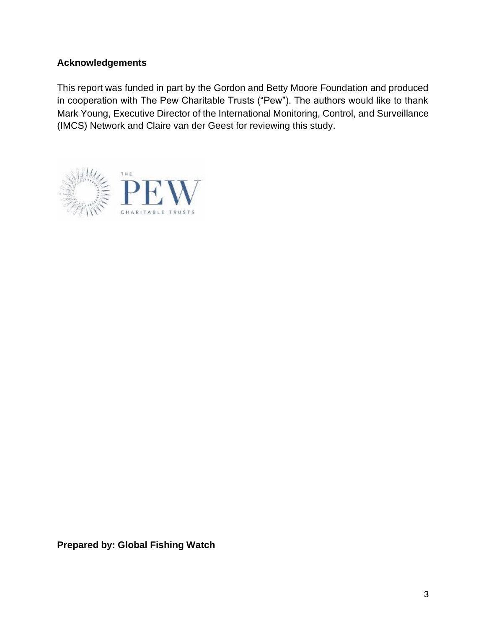#### **Acknowledgements**

This report was funded in part by the Gordon and Betty Moore Foundation and produced in cooperation with The Pew Charitable Trusts ("Pew"). The authors would like to thank Mark Young, Executive Director of the International Monitoring, Control, and Surveillance (IMCS) Network and Claire van der Geest for reviewing this study.



**Prepared by: Global Fishing Watch**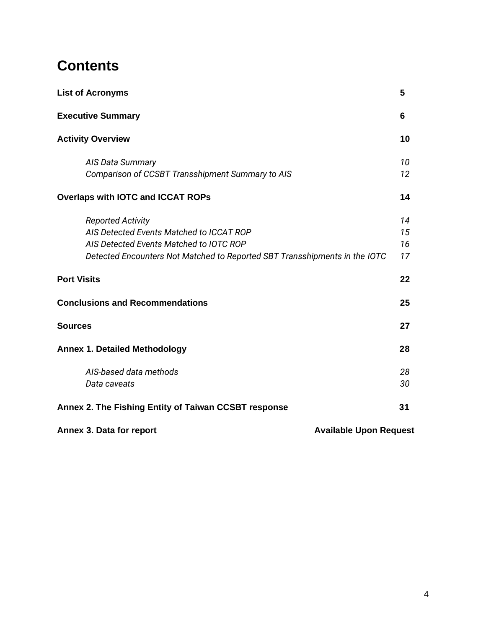# **Contents**

| <b>List of Acronyms</b>                                                    | 5  |
|----------------------------------------------------------------------------|----|
| <b>Executive Summary</b>                                                   | 6  |
| <b>Activity Overview</b>                                                   | 10 |
| AIS Data Summary                                                           | 10 |
| Comparison of CCSBT Transshipment Summary to AIS                           | 12 |
| <b>Overlaps with IOTC and ICCAT ROPs</b>                                   | 14 |
| <b>Reported Activity</b>                                                   | 14 |
| AIS Detected Events Matched to ICCAT ROP                                   | 15 |
| AIS Detected Events Matched to IOTC ROP                                    | 16 |
| Detected Encounters Not Matched to Reported SBT Transshipments in the IOTC | 17 |
| <b>Port Visits</b>                                                         | 22 |
| <b>Conclusions and Recommendations</b>                                     | 25 |
| <b>Sources</b>                                                             | 27 |
| <b>Annex 1. Detailed Methodology</b>                                       | 28 |
| AIS-based data methods                                                     | 28 |
| Data caveats                                                               | 30 |
| Annex 2. The Fishing Entity of Taiwan CCSBT response                       | 31 |
| Annex 3. Data for report<br><b>Available Upon Request</b>                  |    |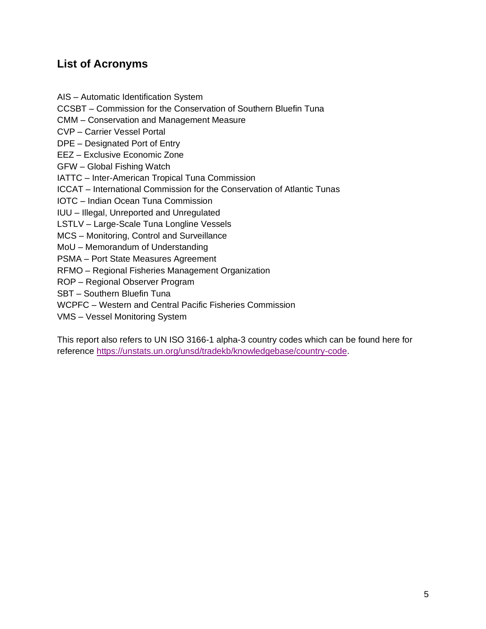### **List of Acronyms**

AIS – Automatic Identification System CCSBT – Commission for the Conservation of Southern Bluefin Tuna CMM – Conservation and Management Measure CVP – Carrier Vessel Portal DPE – Designated Port of Entry EEZ – Exclusive Economic Zone GFW – Global Fishing Watch IATTC – Inter-American Tropical Tuna Commission ICCAT – International Commission for the Conservation of Atlantic Tunas IOTC – Indian Ocean Tuna Commission IUU – Illegal, Unreported and Unregulated LSTLV – Large-Scale Tuna Longline Vessels MCS – Monitoring, Control and Surveillance MoU – Memorandum of Understanding PSMA – Port State Measures Agreement RFMO – Regional Fisheries Management Organization ROP – Regional Observer Program SBT – Southern Bluefin Tuna WCPFC – Western and Central Pacific Fisheries Commission VMS – Vessel Monitoring System

This report also refers to UN ISO 3166-1 alpha-3 country codes which can be found here for referenc[e](https://unstats.un.org/unsd/tradekb/knowledgebase/country-code) [https://unstats.un.org/unsd/tradekb/knowledgebase/country-code.](https://unstats.un.org/unsd/tradekb/knowledgebase/country-code)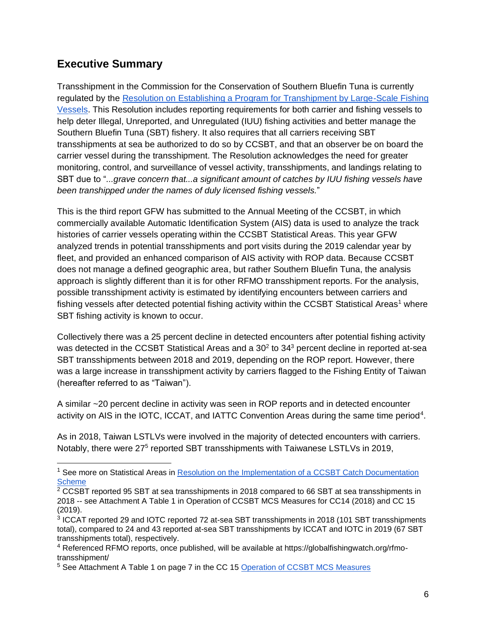## **Executive Summary**

Transshipment in the Commission for the Conservation of Southern Bluefin Tuna is currently regulated by the [Resolution on Establishing a Program for Transhipment by Large-Scale Fishing](https://www.ccsbt.org/sites/ccsbt.org/files/userfiles/file/docs_english/operational_resolutions/Resolution_Transhipment.pdf)  [Vessels.](https://www.ccsbt.org/sites/ccsbt.org/files/userfiles/file/docs_english/operational_resolutions/Resolution_Transhipment.pdf) This Resolution includes reporting requirements for both carrier and fishing vessels to help deter Illegal, Unreported, and Unregulated (IUU) fishing activities and better manage the Southern Bluefin Tuna (SBT) fishery. It also requires that all carriers receiving SBT transshipments at sea be authorized to do so by CCSBT, and that an observer be on board the carrier vessel during the transshipment. The Resolution acknowledges the need for greater monitoring, control, and surveillance of vessel activity, transshipments, and landings relating to SBT due to "*...grave concern that...a significant amount of catches by IUU fishing vessels have been transhipped under the names of duly licensed fishing vessels.*"

This is the third report GFW has submitted to the Annual Meeting of the CCSBT, in which commercially available Automatic Identification System (AIS) data is used to analyze the track histories of carrier vessels operating within the CCSBT Statistical Areas. This year GFW analyzed trends in potential transshipments and port visits during the 2019 calendar year by fleet, and provided an enhanced comparison of AIS activity with ROP data. Because CCSBT does not manage a defined geographic area, but rather Southern Bluefin Tuna, the analysis approach is slightly different than it is for other RFMO transshipment reports. For the analysis, possible transshipment activity is estimated by identifying encounters between carriers and fishing vessels after detected potential fishing activity within the CCSBT Statistical Areas<sup>1</sup> where SBT fishing activity is known to occur.

Collectively there was a 25 percent decline in detected encounters after potential fishing activity was detected in the CCSBT Statistical Areas and a  $30<sup>2</sup>$  to  $34<sup>3</sup>$  percent decline in reported at-sea SBT transshipments between 2018 and 2019, depending on the ROP report. However, there was a large increase in transshipment activity by carriers flagged to the Fishing Entity of Taiwan (hereafter referred to as "Taiwan").

A similar ~20 percent decline in activity was seen in ROP reports and in detected encounter activity on AIS in the IOTC, ICCAT, and IATTC Convention Areas during the same time period<sup>4</sup>.

As in 2018, Taiwan LSTLVs were involved in the majority of detected encounters with carriers. Notably, there were 27<sup>5</sup> reported SBT transshipments with Taiwanese LSTLVs in 2019,

<sup>&</sup>lt;sup>1</sup> See more on Statistical Areas in Resolution on the Implementation of a CCSBT Catch Documentation **[Scheme](https://www.ccsbt.org/sites/default/files/userfiles/file/docs_english/operational_resolutions/Resolution_CDS.pdf)** 

 $2$  CCSBT reported 95 SBT at sea transshipments in 2018 compared to 66 SBT at sea transshipments in 2018 -- see Attachment A Table 1 in Operation of CCSBT MCS Measures for CC14 (2018) and CC 15 (2019).

<sup>&</sup>lt;sup>3</sup> ICCAT reported 29 and IOTC reported 72 at-sea SBT transshipments in 2018 (101 SBT transshipments total), compared to 24 and 43 reported at-sea SBT transshipments by ICCAT and IOTC in 2019 (67 SBT transshipments total), respectively.

<sup>4</sup> Referenced RFMO reports, once published, will be available at https://globalfishingwatch.org/rfmotransshipment/

<sup>&</sup>lt;sup>5</sup> See Attachment A Table 1 on page 7 in the CC 15 Operation of CCSBT MCS Measures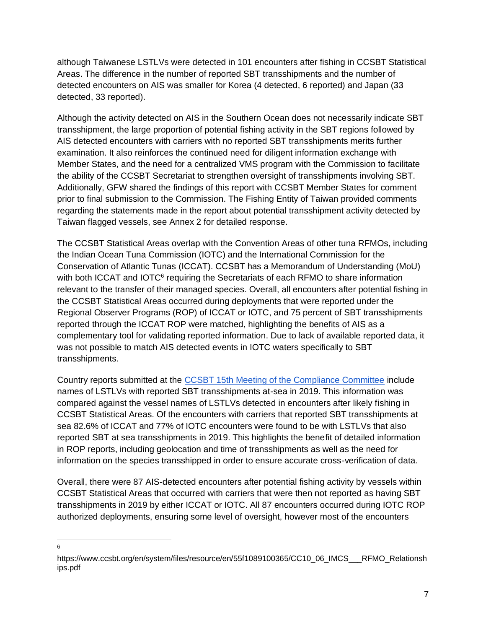although Taiwanese LSTLVs were detected in 101 encounters after fishing in CCSBT Statistical Areas. The difference in the number of reported SBT transshipments and the number of detected encounters on AIS was smaller for Korea (4 detected, 6 reported) and Japan (33 detected, 33 reported).

Although the activity detected on AIS in the Southern Ocean does not necessarily indicate SBT transshipment, the large proportion of potential fishing activity in the SBT regions followed by AIS detected encounters with carriers with no reported SBT transshipments merits further examination. It also reinforces the continued need for diligent information exchange with Member States, and the need for a centralized VMS program with the Commission to facilitate the ability of the CCSBT Secretariat to strengthen oversight of transshipments involving SBT. Additionally, GFW shared the findings of this report with CCSBT Member States for comment prior to final submission to the Commission. The Fishing Entity of Taiwan provided comments regarding the statements made in the report about potential transshipment activity detected by Taiwan flagged vessels, see Annex 2 for detailed response.

The CCSBT Statistical Areas overlap with the Convention Areas of other tuna RFMOs, including the Indian Ocean Tuna Commission (IOTC) and the International Commission for the Conservation of Atlantic Tunas (ICCAT). CCSBT has a Memorandum of Understanding (MoU) with both ICCAT and IOTC $<sup>6</sup>$  requiring the Secretariats of each RFMO to share information</sup> relevant to the transfer of their managed species. Overall, all encounters after potential fishing in the CCSBT Statistical Areas occurred during deployments that were reported under the Regional Observer Programs (ROP) of ICCAT or IOTC, and 75 percent of SBT transshipments reported through the ICCAT ROP were matched, highlighting the benefits of AIS as a complementary tool for validating reported information. Due to lack of available reported data, it was not possible to match AIS detected events in IOTC waters specifically to SBT transshipments.

Country reports submitted at the [CCSBT 15th Meeting of the Compliance Committee](https://www.ccsbt.org/en/past-meeting-documents/565) include names of LSTLVs with reported SBT transshipments at-sea in 2019. This information was compared against the vessel names of LSTLVs detected in encounters after likely fishing in CCSBT Statistical Areas. Of the encounters with carriers that reported SBT transshipments at sea 82.6% of ICCAT and 77% of IOTC encounters were found to be with LSTLVs that also reported SBT at sea transshipments in 2019. This highlights the benefit of detailed information in ROP reports, including geolocation and time of transshipments as well as the need for information on the species transshipped in order to ensure accurate cross-verification of data.

Overall, there were 87 AIS-detected encounters after potential fishing activity by vessels within CCSBT Statistical Areas that occurred with carriers that were then not reported as having SBT transshipments in 2019 by either ICCAT or IOTC. All 87 encounters occurred during IOTC ROP authorized deployments, ensuring some level of oversight, however most of the encounters

<sup>6</sup>

https://www.ccsbt.org/en/system/files/resource/en/55f1089100365/CC10\_06\_IMCS\_\_\_RFMO\_Relationsh ips.pdf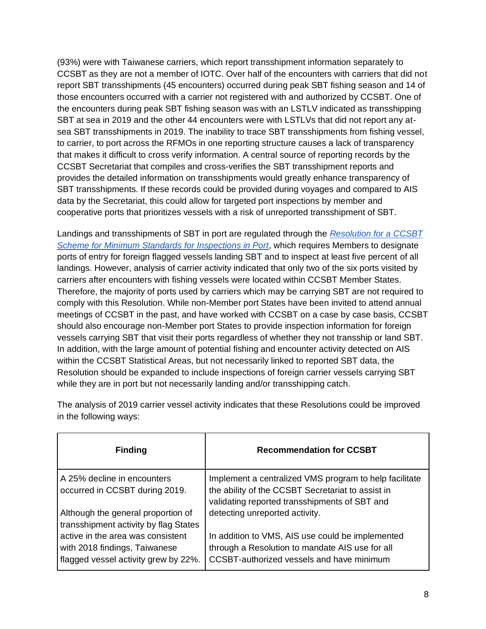(93%) were with Taiwanese carriers, which report transshipment information separately to CCSBT as they are not a member of IOTC. Over half of the encounters with carriers that did not report SBT transshipments (45 encounters) occurred during peak SBT fishing season and 14 of those encounters occurred with a carrier not registered with and authorized by CCSBT. One of the encounters during peak SBT fishing season was with an LSTLV indicated as transshipping SBT at sea in 2019 and the other 44 encounters were with LSTLVs that did not report any atsea SBT transshipments in 2019. The inability to trace SBT transshipments from fishing vessel, to carrier, to port across the RFMOs in one reporting structure causes a lack of transparency that makes it difficult to cross verify information. A central source of reporting records by the CCSBT Secretariat that compiles and cross-verifies the SBT transshipment reports and provides the detailed information on transshipments would greatly enhance transparency of SBT transshipments. If these records could be provided during voyages and compared to AIS data by the Secretariat, this could allow for targeted port inspections by member and cooperative ports that prioritizes vessels with a risk of unreported transshipment of SBT.

Landings and transshipments of SBT in port are regulated through the *[Resolution for a CCSBT](https://www.ccsbt.org/sites/ccsbt.org/files/userfiles/file/docs_english/operational_resolutions/Resolution_Minimum_Port_Inspection_Standards.pdf)  [Scheme for Minimum Standards for Inspections in Port](https://www.ccsbt.org/sites/ccsbt.org/files/userfiles/file/docs_english/operational_resolutions/Resolution_Minimum_Port_Inspection_Standards.pdf)*, which requires Members to designate ports of entry for foreign flagged vessels landing SBT and to inspect at least five percent of all landings. However, analysis of carrier activity indicated that only two of the six ports visited by carriers after encounters with fishing vessels were located within CCSBT Member States. Therefore, the majority of ports used by carriers which may be carrying SBT are not required to comply with this Resolution. While non-Member port States have been invited to attend annual meetings of CCSBT in the past, and have worked with CCSBT on a case by case basis, CCSBT should also encourage non-Member port States to provide inspection information for foreign vessels carrying SBT that visit their ports regardless of whether they not transship or land SBT. In addition, with the large amount of potential fishing and encounter activity detected on AIS within the CCSBT Statistical Areas, but not necessarily linked to reported SBT data, the Resolution should be expanded to include inspections of foreign carrier vessels carrying SBT while they are in port but not necessarily landing and/or transshipping catch.

| <b>Finding</b>                                                                                             | <b>Recommendation for CCSBT</b>                                                                                                                              |
|------------------------------------------------------------------------------------------------------------|--------------------------------------------------------------------------------------------------------------------------------------------------------------|
| A 25% decline in encounters<br>occurred in CCSBT during 2019.                                              | Implement a centralized VMS program to help facilitate<br>the ability of the CCSBT Secretariat to assist in<br>validating reported transshipments of SBT and |
| Although the general proportion of<br>transshipment activity by flag States                                | detecting unreported activity.                                                                                                                               |
| active in the area was consistent<br>with 2018 findings, Taiwanese<br>flagged vessel activity grew by 22%. | In addition to VMS, AIS use could be implemented<br>through a Resolution to mandate AIS use for all<br>CCSBT-authorized vessels and have minimum             |

The analysis of 2019 carrier vessel activity indicates that these Resolutions could be improved in the following ways: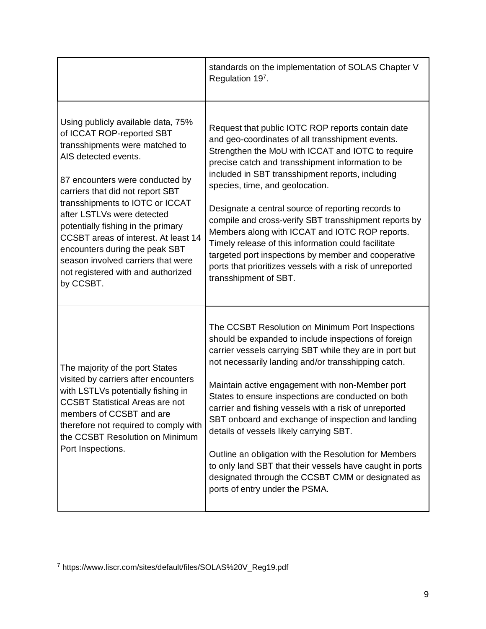|                                                                                                                                                                                                                                                                                                                                                                                                                                                                            | standards on the implementation of SOLAS Chapter V<br>Regulation 197.                                                                                                                                                                                                                                                                                                                                                                                                                                                                                                                                                                                                                                     |
|----------------------------------------------------------------------------------------------------------------------------------------------------------------------------------------------------------------------------------------------------------------------------------------------------------------------------------------------------------------------------------------------------------------------------------------------------------------------------|-----------------------------------------------------------------------------------------------------------------------------------------------------------------------------------------------------------------------------------------------------------------------------------------------------------------------------------------------------------------------------------------------------------------------------------------------------------------------------------------------------------------------------------------------------------------------------------------------------------------------------------------------------------------------------------------------------------|
| Using publicly available data, 75%<br>of ICCAT ROP-reported SBT<br>transshipments were matched to<br>AIS detected events.<br>87 encounters were conducted by<br>carriers that did not report SBT<br>transshipments to IOTC or ICCAT<br>after LSTLVs were detected<br>potentially fishing in the primary<br>CCSBT areas of interest. At least 14<br>encounters during the peak SBT<br>season involved carriers that were<br>not registered with and authorized<br>by CCSBT. | Request that public IOTC ROP reports contain date<br>and geo-coordinates of all transshipment events.<br>Strengthen the MoU with ICCAT and IOTC to require<br>precise catch and transshipment information to be<br>included in SBT transshipment reports, including<br>species, time, and geolocation.<br>Designate a central source of reporting records to<br>compile and cross-verify SBT transshipment reports by<br>Members along with ICCAT and IOTC ROP reports.<br>Timely release of this information could facilitate<br>targeted port inspections by member and cooperative<br>ports that prioritizes vessels with a risk of unreported<br>transshipment of SBT.                                |
| The majority of the port States<br>visited by carriers after encounters<br>with LSTLVs potentially fishing in<br><b>CCSBT Statistical Areas are not</b><br>members of CCSBT and are<br>therefore not required to comply with<br>the CCSBT Resolution on Minimum<br>Port Inspections.                                                                                                                                                                                       | The CCSBT Resolution on Minimum Port Inspections<br>should be expanded to include inspections of foreign<br>carrier vessels carrying SBT while they are in port but<br>not necessarily landing and/or transshipping catch.<br>Maintain active engagement with non-Member port<br>States to ensure inspections are conducted on both<br>carrier and fishing vessels with a risk of unreported<br>SBT onboard and exchange of inspection and landing<br>details of vessels likely carrying SBT.<br>Outline an obligation with the Resolution for Members<br>to only land SBT that their vessels have caught in ports<br>designated through the CCSBT CMM or designated as<br>ports of entry under the PSMA. |

<sup>7</sup> https://www.liscr.com/sites/default/files/SOLAS%20V\_Reg19.pdf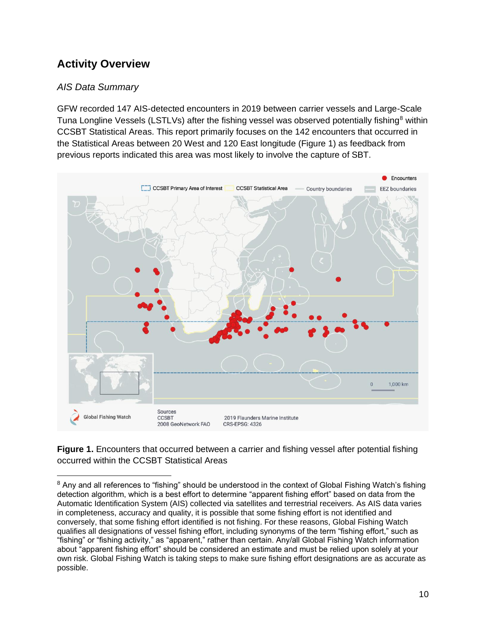# **Activity Overview**

#### *AIS Data Summary*

GFW recorded 147 AIS-detected encounters in 2019 between carrier vessels and Large-Scale Tuna Longline Vessels (LSTLVs) after the fishing vessel was observed potentially fishing<sup>8</sup> within CCSBT Statistical Areas. This report primarily focuses on the 142 encounters that occurred in the Statistical Areas between 20 West and 120 East longitude (Figure 1) as feedback from previous reports indicated this area was most likely to involve the capture of SBT.



**Figure 1.** Encounters that occurred between a carrier and fishing vessel after potential fishing occurred within the CCSBT Statistical Areas

<sup>&</sup>lt;sup>8</sup> Any and all references to "fishing" should be understood in the context of Global Fishing Watch's fishing detection algorithm, which is a best effort to determine "apparent fishing effort" based on data from the Automatic Identification System (AIS) collected via satellites and terrestrial receivers. As AIS data varies in completeness, accuracy and quality, it is possible that some fishing effort is not identified and conversely, that some fishing effort identified is not fishing. For these reasons, Global Fishing Watch qualifies all designations of vessel fishing effort, including synonyms of the term "fishing effort," such as "fishing" or "fishing activity," as "apparent," rather than certain. Any/all Global Fishing Watch information about "apparent fishing effort" should be considered an estimate and must be relied upon solely at your own risk. Global Fishing Watch is taking steps to make sure fishing effort designations are as accurate as possible.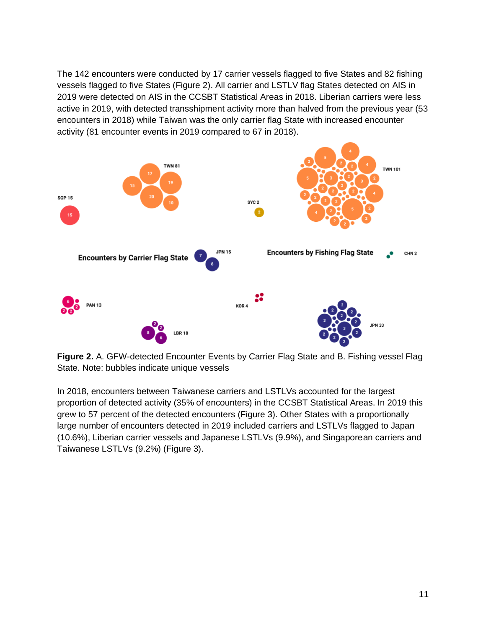The 142 encounters were conducted by 17 carrier vessels flagged to five States and 82 fishing vessels flagged to five States (Figure 2). All carrier and LSTLV flag States detected on AIS in 2019 were detected on AIS in the CCSBT Statistical Areas in 2018. Liberian carriers were less active in 2019, with detected transshipment activity more than halved from the previous year (53 encounters in 2018) while Taiwan was the only carrier flag State with increased encounter activity (81 encounter events in 2019 compared to 67 in 2018).



**Figure 2.** A. GFW-detected Encounter Events by Carrier Flag State and B. Fishing vessel Flag State. Note: bubbles indicate unique vessels

In 2018, encounters between Taiwanese carriers and LSTLVs accounted for the largest proportion of detected activity (35% of encounters) in the CCSBT Statistical Areas. In 2019 this grew to 57 percent of the detected encounters (Figure 3). Other States with a proportionally large number of encounters detected in 2019 included carriers and LSTLVs flagged to Japan (10.6%), Liberian carrier vessels and Japanese LSTLVs (9.9%), and Singaporean carriers and Taiwanese LSTLVs (9.2%) (Figure 3).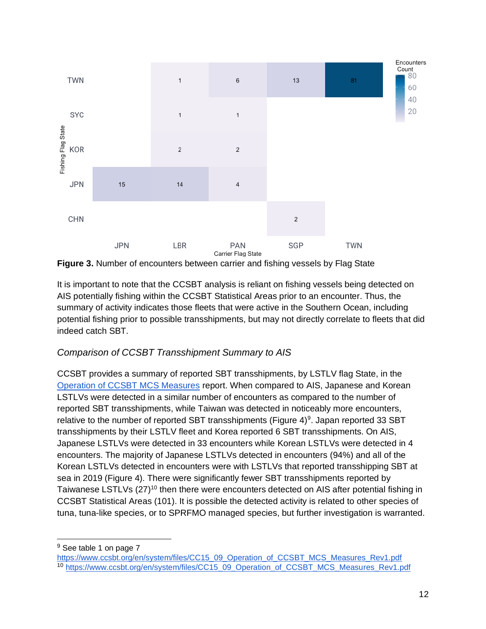

**Figure 3.** Number of encounters between carrier and fishing vessels by Flag State

It is important to note that the CCSBT analysis is reliant on fishing vessels being detected on AIS potentially fishing within the CCSBT Statistical Areas prior to an encounter. Thus, the summary of activity indicates those fleets that were active in the Southern Ocean, including potential fishing prior to possible transshipments, but may not directly correlate to fleets that did indeed catch SBT.

#### *Comparison of CCSBT Transshipment Summary to AIS*

CCSBT provides a summary of reported SBT transshipments, by LSTLV flag State, in the [Operation of CCSBT MCS Measures](https://www.ccsbt.org/en/system/files/CC15_09_Operation_of_CCSBT_MCS_Measures_Rev1.pdf) report. When compared to AIS, Japanese and Korean LSTLVs were detected in a similar number of encounters as compared to the number of reported SBT transshipments, while Taiwan was detected in noticeably more encounters, relative to the number of reported SBT transshipments (Figure 4) $9$ . Japan reported 33 SBT transshipments by their LSTLV fleet and Korea reported 6 SBT transshipments. On AIS, Japanese LSTLVs were detected in 33 encounters while Korean LSTLVs were detected in 4 encounters. The majority of Japanese LSTLVs detected in encounters (94%) and all of the Korean LSTLVs detected in encounters were with LSTLVs that reported transshipping SBT at sea in 2019 (Figure 4). There were significantly fewer SBT transshipments reported by Taiwanese LSTLVs (27)<sup>10</sup> then there were encounters detected on AIS after potential fishing in CCSBT Statistical Areas (101). It is possible the detected activity is related to other species of tuna, tuna-like species, or to SPRFMO managed species, but further investigation is warranted.

<sup>&</sup>lt;sup>9</sup> See table 1 on page 7

[https://www.ccsbt.org/en/system/files/CC15\\_09\\_Operation\\_of\\_CCSBT\\_MCS\\_Measures\\_Rev1.pdf](https://www.ccsbt.org/en/system/files/CC15_09_Operation_of_CCSBT_MCS_Measures_Rev1.pdf) 10 [https://www.ccsbt.org/en/system/files/CC15\\_09\\_Operation\\_of\\_CCSBT\\_MCS\\_Measures\\_Rev1.pdf](https://www.ccsbt.org/en/system/files/CC15_09_Operation_of_CCSBT_MCS_Measures_Rev1.pdf)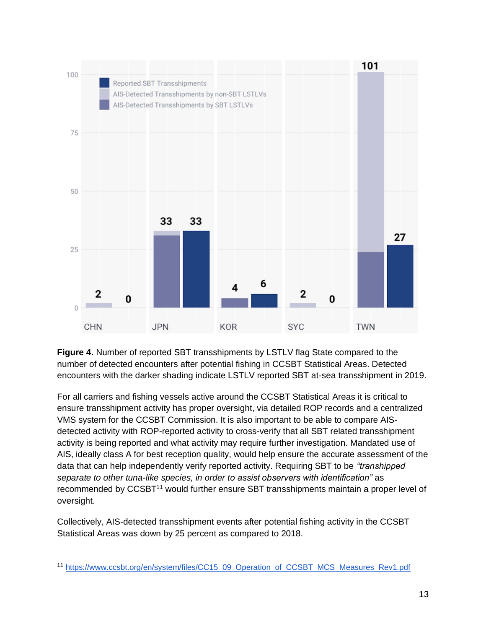

**Figure 4.** Number of reported SBT transshipments by LSTLV flag State compared to the number of detected encounters after potential fishing in CCSBT Statistical Areas. Detected encounters with the darker shading indicate LSTLV reported SBT at-sea transshipment in 2019.

For all carriers and fishing vessels active around the CCSBT Statistical Areas it is critical to ensure transshipment activity has proper oversight, via detailed ROP records and a centralized VMS system for the CCSBT Commission. It is also important to be able to compare AISdetected activity with ROP-reported activity to cross-verify that all SBT related transshipment activity is being reported and what activity may require further investigation. Mandated use of AIS, ideally class A for best reception quality, would help ensure the accurate assessment of the data that can help independently verify reported activity. Requiring SBT to be *"transhipped separate to other tuna-like species, in order to assist observers with identification"* as recommended by CCSBT<sup>11</sup> would further ensure SBT transshipments maintain a proper level of oversight.

Collectively, AIS-detected transshipment events after potential fishing activity in the CCSBT Statistical Areas was down by 25 percent as compared to 2018.

<sup>&</sup>lt;sup>11</sup> [https://www.ccsbt.org/en/system/files/CC15\\_09\\_Operation\\_of\\_CCSBT\\_MCS\\_Measures\\_Rev1.pdf](https://www.ccsbt.org/en/system/files/CC15_09_Operation_of_CCSBT_MCS_Measures_Rev1.pdf)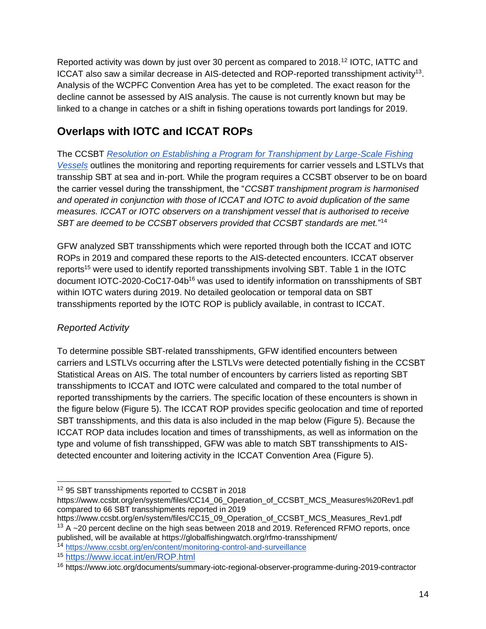Reported activity was down by just over 30 percent as compared to 2018.<sup>12</sup> IOTC, IATTC and ICCAT also saw a similar decrease in AIS-detected and ROP-reported transshipment activity<sup>13</sup>. Analysis of the WCPFC Convention Area has yet to be completed. The exact reason for the decline cannot be assessed by AIS analysis. The cause is not currently known but may be linked to a change in catches or a shift in fishing operations towards port landings for 2019.

# **Overlaps with IOTC and ICCAT ROPs**

The CCSBT *[Resolution on Establishing a Program for Transhipment by Large-Scale Fishing](https://www.ccsbt.org/sites/ccsbt.org/files/userfiles/file/docs_english/operational_resolutions/Resolution_Transhipment.pdf)  [Vessels](https://www.ccsbt.org/sites/ccsbt.org/files/userfiles/file/docs_english/operational_resolutions/Resolution_Transhipment.pdf)* outlines the monitoring and reporting requirements for carrier vessels and LSTLVs that transship SBT at sea and in-port. While the program requires a CCSBT observer to be on board the carrier vessel during the transshipment, the "*CCSBT transhipment program is harmonised and operated in conjunction with those of ICCAT and IOTC to avoid duplication of the same measures. ICCAT or IOTC observers on a transhipment vessel that is authorised to receive SBT are deemed to be CCSBT observers provided that CCSBT standards are met.*" 14

GFW analyzed SBT transshipments which were reported through both the ICCAT and IOTC ROPs in 2019 and compared these reports to the AIS-detected encounters. ICCAT observer reports<sup>15</sup> were used to identify reported transshipments involving SBT. Table 1 in the IOTC document IOTC-2020-CoC17-04b<sup>16</sup> was used to identify information on transshipments of SBT within IOTC waters during 2019. No detailed geolocation or temporal data on SBT transshipments reported by the IOTC ROP is publicly available, in contrast to ICCAT.

### *Reported Activity*

To determine possible SBT-related transshipments, GFW identified encounters between carriers and LSTLVs occurring after the LSTLVs were detected potentially fishing in the CCSBT Statistical Areas on AIS. The total number of encounters by carriers listed as reporting SBT transshipments to ICCAT and IOTC were calculated and compared to the total number of reported transshipments by the carriers. The specific location of these encounters is shown in the figure below (Figure 5). The ICCAT ROP provides specific geolocation and time of reported SBT transshipments, and this data is also included in the map below (Figure 5). Because the ICCAT ROP data includes location and times of transshipments, as well as information on the type and volume of fish transshipped, GFW was able to match SBT transshipments to AISdetected encounter and loitering activity in the ICCAT Convention Area (Figure 5).

<sup>14</sup> <https://www.ccsbt.org/en/content/monitoring-control-and-surveillance>

<sup>12</sup> 95 SBT transshipments reported to CCSBT in 2018

[https://www.ccsbt.org/en/system/files/CC14\\_06\\_Operation\\_of\\_CCSBT\\_MCS\\_Measures%20Rev1.pdf](https://www.ccsbt.org/en/system/files/CC14_06_Operation_of_CCSBT_MCS_Measures%20Rev1.pdf) compared to 66 SBT transshipments reported in 2019

[https://www.ccsbt.org/en/system/files/CC15\\_09\\_Operation\\_of\\_CCSBT\\_MCS\\_Measures\\_Rev1.pdf](https://www.ccsbt.org/en/system/files/CC15_09_Operation_of_CCSBT_MCS_Measures_Rev1.pdf)  $13$  A  $\sim$  20 percent decline on the high seas between 2018 and 2019. Referenced RFMO reports, once published, will be available at https://globalfishingwatch.org/rfmo-transshipment/

<sup>15</sup> <https://www.iccat.int/en/ROP.html>

<sup>16</sup> <https://www.iotc.org/documents/summary-iotc-regional-observer-programme-during-2019-contractor>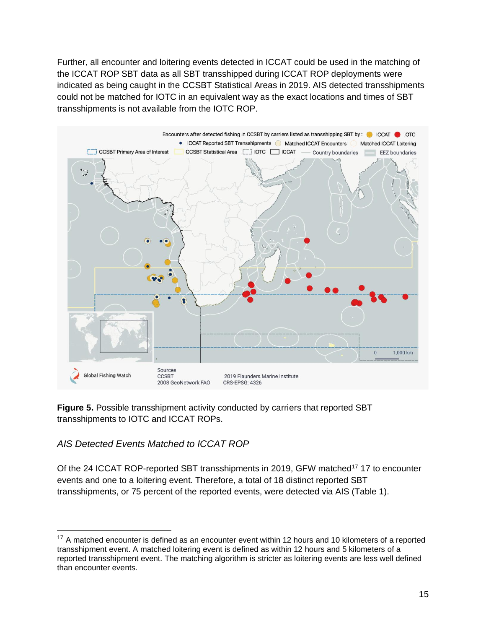Further, all encounter and loitering events detected in ICCAT could be used in the matching of the ICCAT ROP SBT data as all SBT transshipped during ICCAT ROP deployments were indicated as being caught in the CCSBT Statistical Areas in 2019. AIS detected transshipments could not be matched for IOTC in an equivalent way as the exact locations and times of SBT transshipments is not available from the IOTC ROP.



**Figure 5.** Possible transshipment activity conducted by carriers that reported SBT transshipments to IOTC and ICCAT ROPs.

#### *AIS Detected Events Matched to ICCAT ROP*

Of the 24 ICCAT ROP-reported SBT transshipments in 2019, GFW matched<sup>17</sup> 17 to encounter events and one to a loitering event. Therefore, a total of 18 distinct reported SBT transshipments, or 75 percent of the reported events, were detected via AIS (Table 1).

 $17$  A matched encounter is defined as an encounter event within 12 hours and 10 kilometers of a reported transshipment event. A matched loitering event is defined as within 12 hours and 5 kilometers of a reported transshipment event. The matching algorithm is stricter as loitering events are less well defined than encounter events.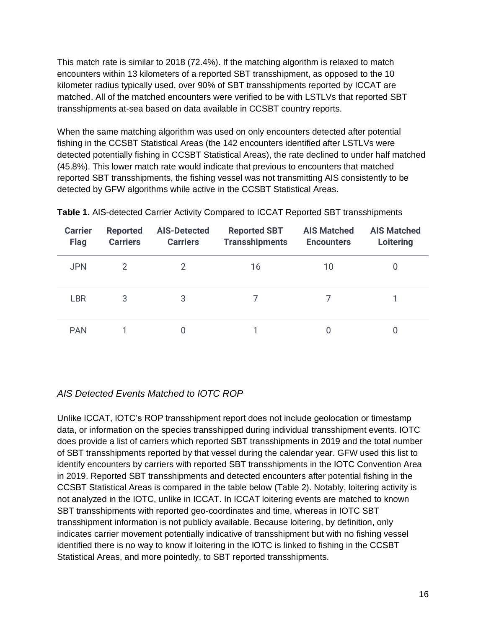This match rate is similar to 2018 (72.4%). If the matching algorithm is relaxed to match encounters within 13 kilometers of a reported SBT transshipment, as opposed to the 10 kilometer radius typically used, over 90% of SBT transshipments reported by ICCAT are matched. All of the matched encounters were verified to be with LSTLVs that reported SBT transshipments at-sea based on data available in CCSBT country reports.

When the same matching algorithm was used on only encounters detected after potential fishing in the CCSBT Statistical Areas (the 142 encounters identified after LSTLVs were detected potentially fishing in CCSBT Statistical Areas), the rate declined to under half matched (45.8%). This lower match rate would indicate that previous to encounters that matched reported SBT transshipments, the fishing vessel was not transmitting AIS consistently to be detected by GFW algorithms while active in the CCSBT Statistical Areas.

| <b>Carrier</b><br><b>Flag</b> | <b>Reported</b><br><b>Carriers</b> | <b>AIS-Detected</b><br><b>Carriers</b> | <b>Reported SBT</b><br><b>Transshipments</b> | <b>AIS Matched</b><br><b>Encounters</b> | <b>AIS Matched</b><br>Loitering |
|-------------------------------|------------------------------------|----------------------------------------|----------------------------------------------|-----------------------------------------|---------------------------------|
| <b>JPN</b>                    | $\mathcal{P}$                      | 2                                      | 16                                           | 10                                      | 0                               |
| <b>LBR</b>                    | 3                                  | 3                                      |                                              |                                         |                                 |
| <b>PAN</b>                    |                                    |                                        |                                              |                                         |                                 |

**Table 1.** AIS-detected Carrier Activity Compared to ICCAT Reported SBT transshipments

#### *AIS Detected Events Matched to IOTC ROP*

Unlike ICCAT, IOTC's ROP transshipment report does not include geolocation or timestamp data, or information on the species transshipped during individual transshipment events. IOTC does provide a list of carriers which reported SBT transshipments in 2019 and the total number of SBT transshipments reported by that vessel during the calendar year. GFW used this list to identify encounters by carriers with reported SBT transshipments in the IOTC Convention Area in 2019. Reported SBT transshipments and detected encounters after potential fishing in the CCSBT Statistical Areas is compared in the table below (Table 2). Notably, loitering activity is not analyzed in the IOTC, unlike in ICCAT. In ICCAT loitering events are matched to known SBT transshipments with reported geo-coordinates and time, whereas in IOTC SBT transshipment information is not publicly available. Because loitering, by definition, only indicates carrier movement potentially indicative of transshipment but with no fishing vessel identified there is no way to know if loitering in the IOTC is linked to fishing in the CCSBT Statistical Areas, and more pointedly, to SBT reported transshipments.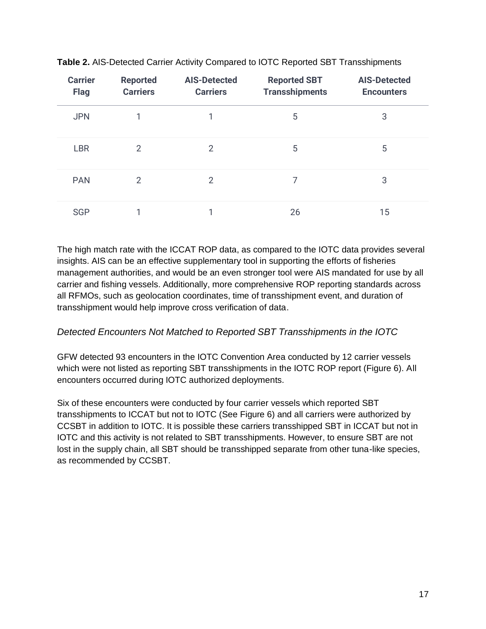| <b>Carrier</b><br><b>Flag</b> | <b>Reported</b><br><b>Carriers</b> | <b>AIS-Detected</b><br><b>Carriers</b> | <b>Reported SBT</b><br><b>Transshipments</b> | <b>AIS-Detected</b><br><b>Encounters</b> |
|-------------------------------|------------------------------------|----------------------------------------|----------------------------------------------|------------------------------------------|
| <b>JPN</b>                    | 1                                  |                                        | 5                                            | 3                                        |
| <b>LBR</b>                    | $\overline{2}$                     | 2                                      | 5                                            | 5                                        |
| <b>PAN</b>                    | $\overline{2}$                     | $\mathcal{P}$                          | 7                                            | 3                                        |
| <b>SGP</b>                    |                                    |                                        | 26                                           | 15                                       |

**Table 2.** AIS-Detected Carrier Activity Compared to IOTC Reported SBT Transshipments

The high match rate with the ICCAT ROP data, as compared to the IOTC data provides several insights. AIS can be an effective supplementary tool in supporting the efforts of fisheries management authorities, and would be an even stronger tool were AIS mandated for use by all carrier and fishing vessels. Additionally, more comprehensive ROP reporting standards across all RFMOs, such as geolocation coordinates, time of transshipment event, and duration of transshipment would help improve cross verification of data.

#### *Detected Encounters Not Matched to Reported SBT Transshipments in the IOTC*

GFW detected 93 encounters in the IOTC Convention Area conducted by 12 carrier vessels which were not listed as reporting SBT transshipments in the IOTC ROP report (Figure 6). All encounters occurred during IOTC authorized deployments.

Six of these encounters were conducted by four carrier vessels which reported SBT transshipments to ICCAT but not to IOTC (See Figure 6) and all carriers were authorized by CCSBT in addition to IOTC. It is possible these carriers transshipped SBT in ICCAT but not in IOTC and this activity is not related to SBT transshipments. However, to ensure SBT are not lost in the supply chain, all SBT should be transshipped separate from other tuna-like species, as recommended by CCSBT.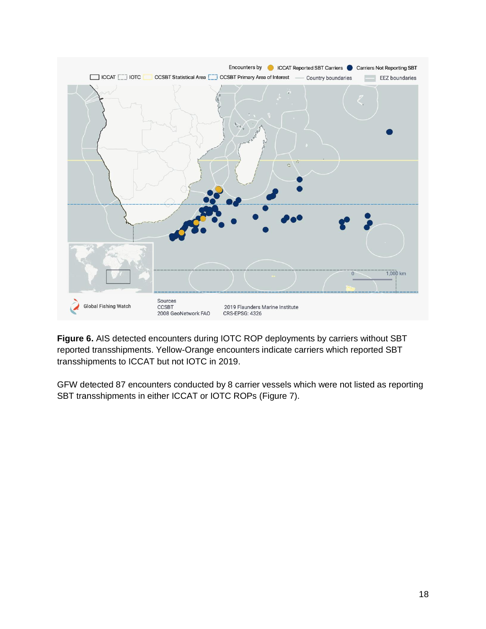

**Figure 6.** AIS detected encounters during IOTC ROP deployments by carriers without SBT reported transshipments. Yellow-Orange encounters indicate carriers which reported SBT transshipments to ICCAT but not IOTC in 2019.

GFW detected 87 encounters conducted by 8 carrier vessels which were not listed as reporting SBT transshipments in either ICCAT or IOTC ROPs (Figure 7).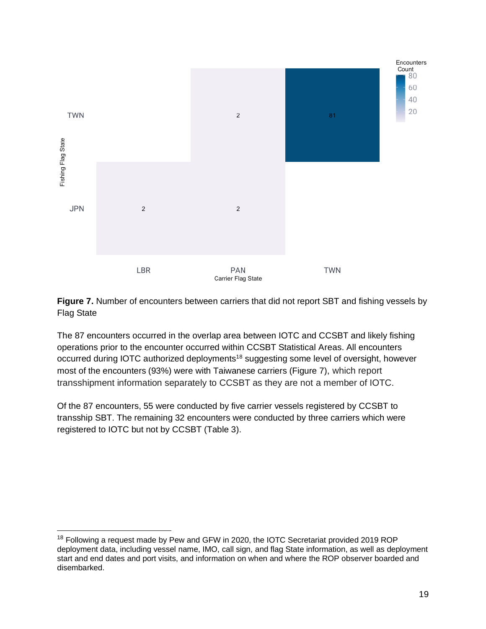

**Figure 7.** Number of encounters between carriers that did not report SBT and fishing vessels by Flag State

The 87 encounters occurred in the overlap area between IOTC and CCSBT and likely fishing operations prior to the encounter occurred within CCSBT Statistical Areas. All encounters occurred during IOTC authorized deployments<sup>18</sup> suggesting some level of oversight, however most of the encounters (93%) were with Taiwanese carriers (Figure 7), which report transshipment information separately to CCSBT as they are not a member of IOTC.

Of the 87 encounters, 55 were conducted by five carrier vessels registered by CCSBT to transship SBT. The remaining 32 encounters were conducted by three carriers which were registered to IOTC but not by CCSBT (Table 3).

<sup>&</sup>lt;sup>18</sup> Following a request made by Pew and GFW in 2020, the IOTC Secretariat provided 2019 ROP deployment data, including vessel name, IMO, call sign, and flag State information, as well as deployment start and end dates and port visits, and information on when and where the ROP observer boarded and disembarked.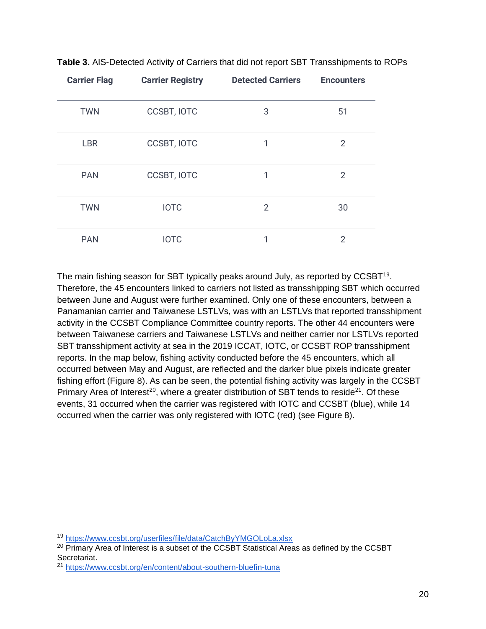| <b>Carrier Flag</b> | <b>Carrier Registry</b> | <b>Detected Carriers</b> | <b>Encounters</b> |
|---------------------|-------------------------|--------------------------|-------------------|
| <b>TWN</b>          | <b>CCSBT, IOTC</b>      | 3                        | 51                |
| <b>LBR</b>          | <b>CCSBT, IOTC</b>      | 1                        | $\overline{2}$    |
| <b>PAN</b>          | <b>CCSBT, IOTC</b>      | 1                        | $\overline{2}$    |
| <b>TWN</b>          | <b>IOTC</b>             | $\overline{2}$           | 30                |
| <b>PAN</b>          | <b>IOTC</b>             | 1                        | $\overline{2}$    |

**Table 3.** AIS-Detected Activity of Carriers that did not report SBT Transshipments to ROPs

The main fishing season for SBT typically peaks around July, as reported by  $CCSBT^{19}$ . Therefore, the 45 encounters linked to carriers not listed as transshipping SBT which occurred between June and August were further examined. Only one of these encounters, between a Panamanian carrier and Taiwanese LSTLVs, was with an LSTLVs that reported transshipment activity in the CCSBT Compliance Committee country reports. The other 44 encounters were between Taiwanese carriers and Taiwanese LSTLVs and neither carrier nor LSTLVs reported SBT transshipment activity at sea in the 2019 ICCAT, IOTC, or CCSBT ROP transshipment reports. In the map below, fishing activity conducted before the 45 encounters, which all occurred between May and August, are reflected and the darker blue pixels indicate greater fishing effort (Figure 8). As can be seen, the potential fishing activity was largely in the CCSBT Primary Area of Interest<sup>20</sup>, where a greater distribution of SBT tends to reside<sup>21</sup>. Of these events, 31 occurred when the carrier was registered with IOTC and CCSBT (blue), while 14 occurred when the carrier was only registered with IOTC (red) (see Figure 8).

<sup>19</sup> <https://www.ccsbt.org/userfiles/file/data/CatchByYMGOLoLa.xlsx>

 $20$  Primary Area of Interest is a subset of the CCSBT Statistical Areas as defined by the CCSBT Secretariat.

<sup>21</sup> <https://www.ccsbt.org/en/content/about-southern-bluefin-tuna>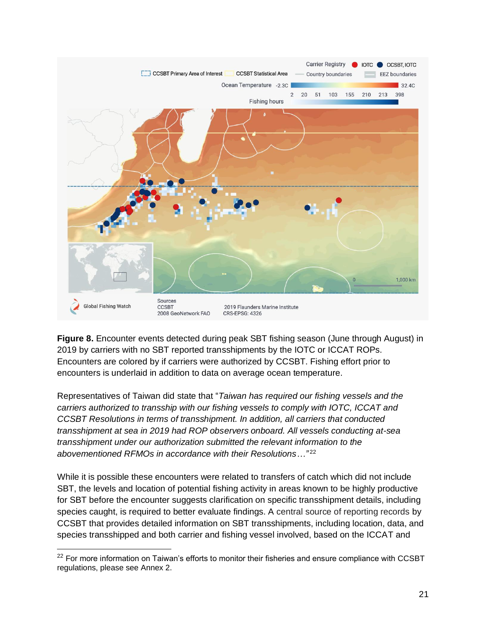

**Figure 8.** Encounter events detected during peak SBT fishing season (June through August) in 2019 by carriers with no SBT reported transshipments by the IOTC or ICCAT ROPs. Encounters are colored by if carriers were authorized by CCSBT. Fishing effort prior to encounters is underlaid in addition to data on average ocean temperature.

Representatives of Taiwan did state that "*Taiwan has required our fishing vessels and the carriers authorized to transship with our fishing vessels to comply with IOTC, ICCAT and CCSBT Resolutions in terms of transshipment. In addition, all carriers that conducted transshipment at sea in 2019 had ROP observers onboard. All vessels conducting at-sea transshipment under our authorization submitted the relevant information to the abovementioned RFMOs in accordance with their Resolutions…"* 22

While it is possible these encounters were related to transfers of catch which did not include SBT, the levels and location of potential fishing activity in areas known to be highly productive for SBT before the encounter suggests clarification on specific transshipment details, including species caught, is required to better evaluate findings. A central source of reporting records by CCSBT that provides detailed information on SBT transshipments, including location, data, and species transshipped and both carrier and fishing vessel involved, based on the ICCAT and

<sup>&</sup>lt;sup>22</sup> [For](https://www.ccsbt.org/sites/ccsbt.org/files/userfiles/file/docs_english/operational_resolutions/Resolution_Minimum_Port_Inspection_Standards.pdf) more information on Taiwan's efforts to monitor their fisheries and ensure compliance with CCSBT regulations, please see Annex 2.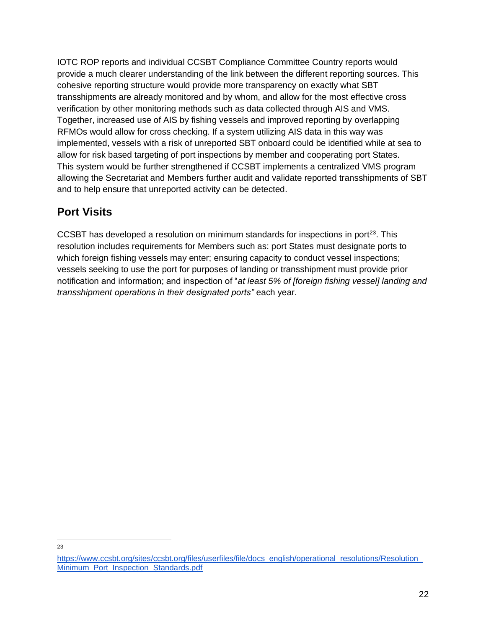IOTC ROP reports and individual CCSBT Compliance Committee Country reports would provide a much clearer understanding of the link between the different reporting sources. This cohesive reporting structure would provide more transparency on exactly what SBT transshipments are already monitored and by whom, and allow for the most effective cross verification by other monitoring methods such as data collected through AIS and VMS. Together, increased use of AIS by fishing vessels and improved reporting by overlapping RFMOs would allow for cross checking. If a system utilizing AIS data in this way was implemented, vessels with a risk of unreported SBT onboard could be identified while at sea to allow for risk based targeting of port inspections by member and cooperating port States. This system would be further strengthened if CCSBT implements a centralized VMS program allowing the Secretariat and Members further audit and validate reported transshipments of SBT and to help ensure that unreported activity can be detected.

## **Port Visits**

CCSBT has developed a resolution on minimum standards for inspections in port $^{23}$ . This resolution includes requirements for Members such as: port States must designate ports to which foreign fishing vessels may enter; ensuring capacity to conduct vessel inspections; vessels seeking to use the port for purposes of landing or transshipment must provide prior notification and information; and inspection of "*at least 5% of [foreign fishing vessel] landing and transshipment operations in their designated ports"* each year.

<sup>23</sup>

https://www.ccsbt.org/sites/ccsbt.org/files/userfiles/file/docs\_english/operational\_resolutions/Resolution [Minimum\\_Port\\_Inspection\\_Standards.pdf](https://www.ccsbt.org/sites/ccsbt.org/files/userfiles/file/docs_english/operational_resolutions/Resolution_Minimum_Port_Inspection_Standards.pdf)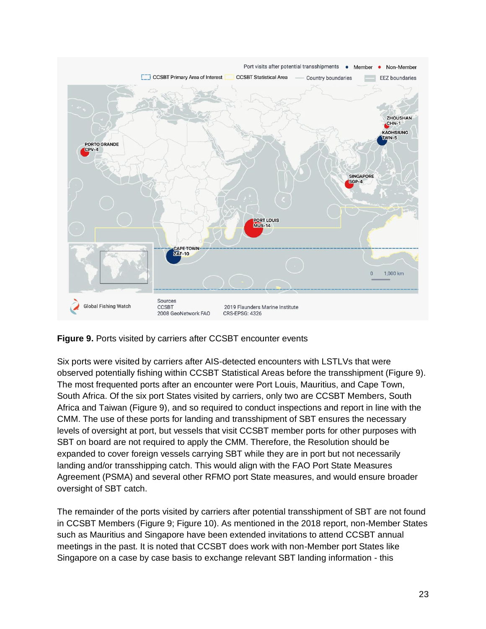

**Figure 9.** Ports visited by carriers after CCSBT encounter events

Six ports were visited by carriers after AIS-detected encounters with LSTLVs that were observed potentially fishing within CCSBT Statistical Areas before the transshipment (Figure 9). The most frequented ports after an encounter were Port Louis, Mauritius, and Cape Town, South Africa. Of the six port States visited by carriers, only two are CCSBT Members, South Africa and Taiwan (Figure 9), and so required to conduct inspections and report in line with the CMM. The use of these ports for landing and transshipment of SBT ensures the necessary levels of oversight at port, but vessels that visit CCSBT member ports for other purposes with SBT on board are not required to apply the CMM. Therefore, the Resolution should be expanded to cover foreign vessels carrying SBT while they are in port but not necessarily landing and/or transshipping catch. This would align with the FAO Port State Measures Agreement (PSMA) and several other RFMO port State measures, and would ensure broader oversight of SBT catch.

The remainder of the ports visited by carriers after potential transshipment of SBT are not found in CCSBT Members (Figure 9; Figure 10). As mentioned in the 2018 report, non-Member States such as Mauritius and Singapore have been extended invitations to attend CCSBT annual meetings in the past. It is noted that CCSBT does work with non-Member port States like Singapore on a case by case basis to exchange relevant SBT landing information - this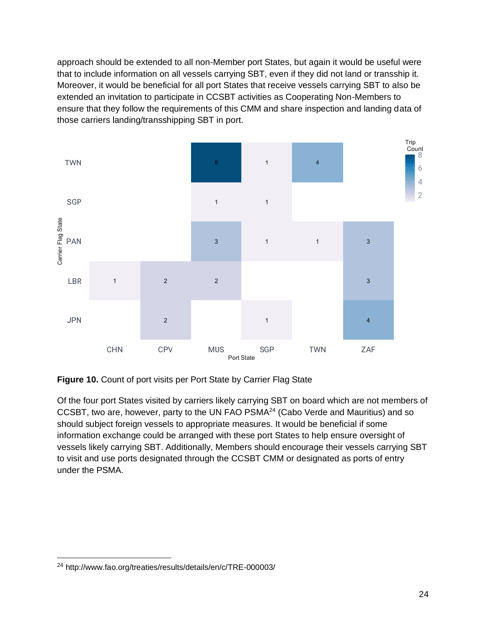approach should be extended to all non-Member port States, but again it would be useful were that to include information on all vessels carrying SBT, even if they did not land or transship it. Moreover, it would be beneficial for all port States that receive vessels carrying SBT to also be extended an invitation to participate in CCSBT activities as Cooperating Non-Members to ensure that they follow the requirements of this CMM and share inspection and landing data of those carriers landing/transshipping SBT in port.



**Figure 10.** Count of port visits per Port State by Carrier Flag State

Of the four port States visited by carriers likely carrying SBT on board which are not members of CCSBT, two are, however, party to the UN FAO PSMA<sup>24</sup> (Cabo Verde and Mauritius) and so should subject foreign vessels to appropriate measures. It would be beneficial if some information exchange could be arranged with these port States to help ensure oversight of vessels likely carrying SBT. Additionally, Members should encourage their vessels carrying SBT to visit and use ports designated through the CCSBT CMM or designated as ports of entry under the PSMA.

<sup>24</sup> http://www.fao.org/treaties/results/details/en/c/TRE-000003/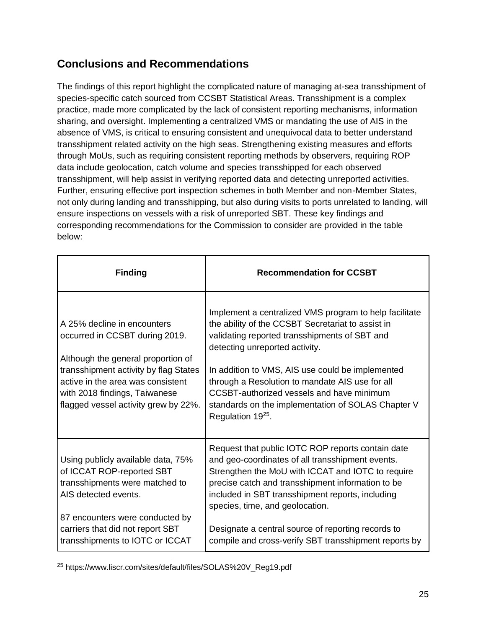## **Conclusions and Recommendations**

The findings of this report highlight the complicated nature of managing at-sea transshipment of species-specific catch sourced from CCSBT Statistical Areas. Transshipment is a complex practice, made more complicated by the lack of consistent reporting mechanisms, information sharing, and oversight. Implementing a centralized VMS or mandating the use of AIS in the absence of VMS, is critical to ensuring consistent and unequivocal data to better understand transshipment related activity on the high seas. Strengthening existing measures and efforts through MoUs, such as requiring consistent reporting methods by observers, requiring ROP data include geolocation, catch volume and species transshipped for each observed transshipment, will help assist in verifying reported data and detecting unreported activities. Further, ensuring effective port inspection schemes in both Member and non-Member States, not only during landing and transshipping, but also during visits to ports unrelated to landing, will ensure inspections on vessels with a risk of unreported SBT. These key findings and corresponding recommendations for the Commission to consider are provided in the table below:

| <b>Finding</b>                                                                                                                                                                                                                                             | <b>Recommendation for CCSBT</b>                                                                                                                                                                                                                                                                                                                                                                                              |
|------------------------------------------------------------------------------------------------------------------------------------------------------------------------------------------------------------------------------------------------------------|------------------------------------------------------------------------------------------------------------------------------------------------------------------------------------------------------------------------------------------------------------------------------------------------------------------------------------------------------------------------------------------------------------------------------|
| A 25% decline in encounters<br>occurred in CCSBT during 2019.<br>Although the general proportion of<br>transshipment activity by flag States<br>active in the area was consistent<br>with 2018 findings, Taiwanese<br>flagged vessel activity grew by 22%. | Implement a centralized VMS program to help facilitate<br>the ability of the CCSBT Secretariat to assist in<br>validating reported transshipments of SBT and<br>detecting unreported activity.<br>In addition to VMS, AIS use could be implemented<br>through a Resolution to mandate AIS use for all<br>CCSBT-authorized vessels and have minimum<br>standards on the implementation of SOLAS Chapter V<br>Regulation 1925. |
| Using publicly available data, 75%<br>of ICCAT ROP-reported SBT<br>transshipments were matched to<br>AIS detected events.                                                                                                                                  | Request that public IOTC ROP reports contain date<br>and geo-coordinates of all transshipment events.<br>Strengthen the MoU with ICCAT and IOTC to require<br>precise catch and transshipment information to be<br>included in SBT transshipment reports, including<br>species, time, and geolocation.                                                                                                                       |
| 87 encounters were conducted by<br>carriers that did not report SBT<br>transshipments to IOTC or ICCAT                                                                                                                                                     | Designate a central source of reporting records to<br>compile and cross-verify SBT transshipment reports by                                                                                                                                                                                                                                                                                                                  |

<sup>25</sup> https://www.liscr.com/sites/default/files/SOLAS%20V\_Reg19.pdf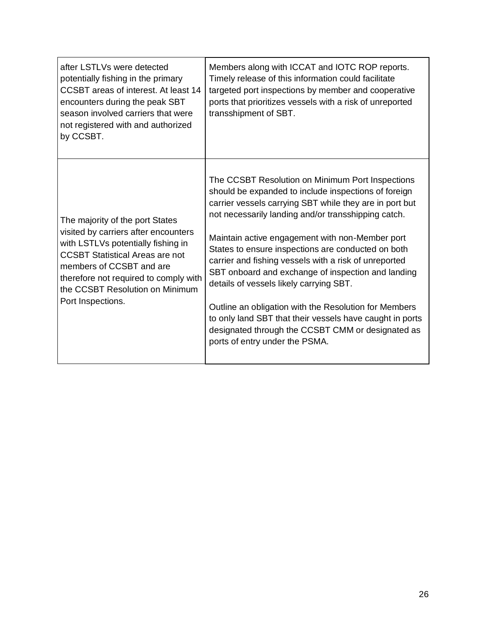| after LSTLVs were detected<br>potentially fishing in the primary<br>CCSBT areas of interest. At least 14<br>encounters during the peak SBT<br>season involved carriers that were<br>not registered with and authorized<br>by CCSBT.                                                  | Members along with ICCAT and IOTC ROP reports.<br>Timely release of this information could facilitate<br>targeted port inspections by member and cooperative<br>ports that prioritizes vessels with a risk of unreported<br>transshipment of SBT.                                                                                                                                                                                                                                                                                                                                                                                                                                                         |
|--------------------------------------------------------------------------------------------------------------------------------------------------------------------------------------------------------------------------------------------------------------------------------------|-----------------------------------------------------------------------------------------------------------------------------------------------------------------------------------------------------------------------------------------------------------------------------------------------------------------------------------------------------------------------------------------------------------------------------------------------------------------------------------------------------------------------------------------------------------------------------------------------------------------------------------------------------------------------------------------------------------|
| The majority of the port States<br>visited by carriers after encounters<br>with LSTLVs potentially fishing in<br><b>CCSBT Statistical Areas are not</b><br>members of CCSBT and are<br>therefore not required to comply with<br>the CCSBT Resolution on Minimum<br>Port Inspections. | The CCSBT Resolution on Minimum Port Inspections<br>should be expanded to include inspections of foreign<br>carrier vessels carrying SBT while they are in port but<br>not necessarily landing and/or transshipping catch.<br>Maintain active engagement with non-Member port<br>States to ensure inspections are conducted on both<br>carrier and fishing vessels with a risk of unreported<br>SBT onboard and exchange of inspection and landing<br>details of vessels likely carrying SBT.<br>Outline an obligation with the Resolution for Members<br>to only land SBT that their vessels have caught in ports<br>designated through the CCSBT CMM or designated as<br>ports of entry under the PSMA. |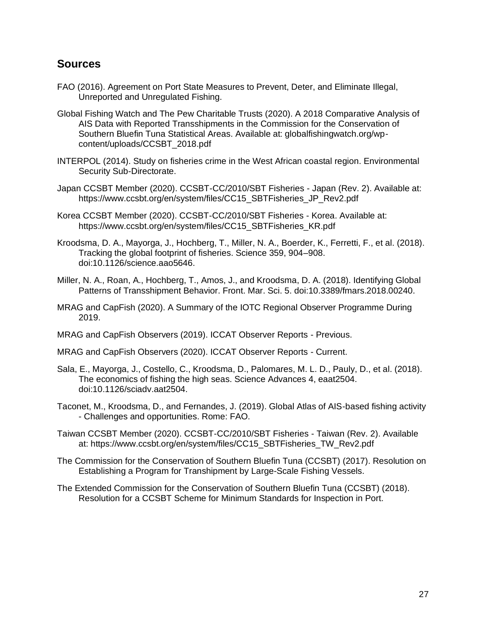#### **Sources**

- FAO (2016). Agreement on Port State Measures to Prevent, Deter, and Eliminate Illegal, Unreported and Unregulated Fishing.
- Global Fishing Watch and The Pew Charitable Trusts (2020). A 2018 Comparative Analysis of AIS Data with Reported Transshipments in the Commission for the Conservation of Southern Bluefin Tuna Statistical Areas. Available at: globalfishingwatch.org/wpcontent/uploads/CCSBT\_2018.pdf
- INTERPOL (2014). Study on fisheries crime in the West African coastal region. Environmental Security Sub-Directorate.
- Japan CCSBT Member (2020). CCSBT-CC/2010/SBT Fisheries Japan (Rev. 2). Available at: https://www.ccsbt.org/en/system/files/CC15\_SBTFisheries\_JP\_Rev2.pdf
- Korea CCSBT Member (2020). CCSBT-CC/2010/SBT Fisheries Korea. Available at: https://www.ccsbt.org/en/system/files/CC15\_SBTFisheries\_KR.pdf
- Kroodsma, D. A., Mayorga, J., Hochberg, T., Miller, N. A., Boerder, K., Ferretti, F., et al. (2018). Tracking the global footprint of fisheries. Science 359, 904–908. doi:10.1126/science.aao5646.
- Miller, N. A., Roan, A., Hochberg, T., Amos, J., and Kroodsma, D. A. (2018). Identifying Global Patterns of Transshipment Behavior. Front. Mar. Sci. 5. doi:10.3389/fmars.2018.00240.
- MRAG and CapFish (2020). A Summary of the IOTC Regional Observer Programme During 2019.
- MRAG and CapFish Observers (2019). ICCAT Observer Reports Previous.
- MRAG and CapFish Observers (2020). ICCAT Observer Reports Current.
- Sala, E., Mayorga, J., Costello, C., Kroodsma, D., Palomares, M. L. D., Pauly, D., et al. (2018). The economics of fishing the high seas. Science Advances 4, eaat2504. doi:10.1126/sciadv.aat2504.
- Taconet, M., Kroodsma, D., and Fernandes, J. (2019). Global Atlas of AIS-based fishing activity - Challenges and opportunities. Rome: FAO.
- Taiwan CCSBT Member (2020). CCSBT-CC/2010/SBT Fisheries Taiwan (Rev. 2). Available at: https://www.ccsbt.org/en/system/files/CC15\_SBTFisheries\_TW\_Rev2.pdf
- The Commission for the Conservation of Southern Bluefin Tuna (CCSBT) (2017). Resolution on Establishing a Program for Transhipment by Large-Scale Fishing Vessels.
- The Extended Commission for the Conservation of Southern Bluefin Tuna (CCSBT) (2018). Resolution for a CCSBT Scheme for Minimum Standards for Inspection in Port.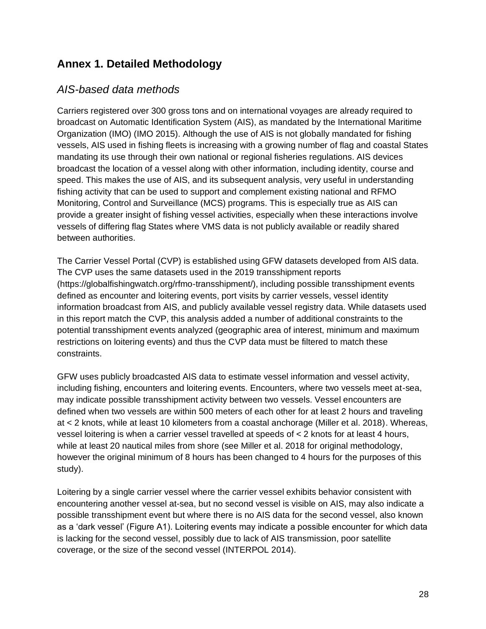### **Annex 1. Detailed Methodology**

#### *AIS-based data methods*

Carriers registered over 300 gross tons and on international voyages are already required to broadcast on Automatic Identification System (AIS), as mandated by the International Maritime Organization (IMO) (IMO 2015). Although the use of AIS is not globally mandated for fishing vessels, AIS used in fishing fleets is increasing with a growing number of flag and coastal States mandating its use through their own national or regional fisheries regulations. AIS devices broadcast the location of a vessel along with other information, including identity, course and speed. This makes the use of AIS, and its subsequent analysis, very useful in understanding fishing activity that can be used to support and complement existing national and RFMO Monitoring, Control and Surveillance (MCS) programs. This is especially true as AIS can provide a greater insight of fishing vessel activities, especially when these interactions involve vessels of differing flag States where VMS data is not publicly available or readily shared between authorities.

The Carrier Vessel Portal (CVP) is established using GFW datasets developed from AIS data. The CVP uses the same datasets used in the 2019 transshipment reports (https://globalfishingwatch.org/rfmo-transshipment/), including possible transshipment events defined as encounter and loitering events, port visits by carrier vessels, vessel identity information broadcast from AIS, and publicly available vessel registry data. While datasets used in this report match the CVP, this analysis added a number of additional constraints to the potential transshipment events analyzed (geographic area of interest, minimum and maximum restrictions on loitering events) and thus the CVP data must be filtered to match these constraints.

GFW uses publicly broadcasted AIS data to estimate vessel information and vessel activity, including fishing, encounters and loitering events. Encounters, where two vessels meet at-sea, may indicate possible transshipment activity between two vessels. Vessel encounters are defined when two vessels are within 500 meters of each other for at least 2 hours and traveling at < 2 knots, while at least 10 kilometers from a coastal anchorage (Miller et al. 2018). Whereas, vessel loitering is when a carrier vessel travelled at speeds of < 2 knots for at least 4 hours, while at least 20 nautical miles from shore (see Miller et al. 2018 for original methodology, however the original minimum of 8 hours has been changed to 4 hours for the purposes of this study).

Loitering by a single carrier vessel where the carrier vessel exhibits behavior consistent with encountering another vessel at-sea, but no second vessel is visible on AIS, may also indicate a possible transshipment event but where there is no AIS data for the second vessel, also known as a 'dark vessel' (Figure A1). Loitering events may indicate a possible encounter for which data is lacking for the second vessel, possibly due to lack of AIS transmission, poor satellite coverage, or the size of the second vessel (INTERPOL 2014).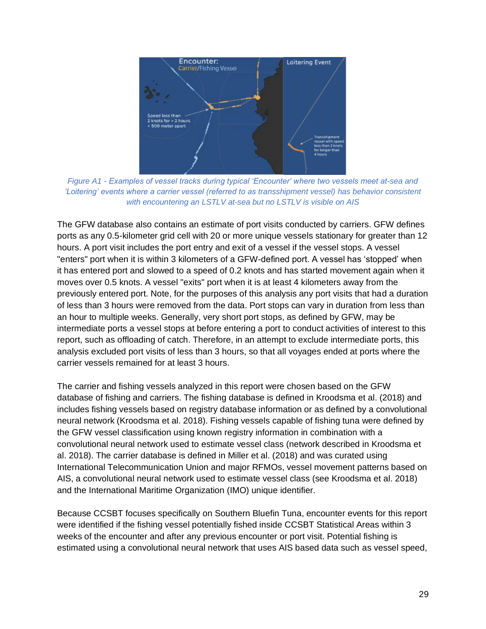

*Figure A1 - Examples of vessel tracks during typical 'Encounter' where two vessels meet at-sea and 'Loitering' events where a carrier vessel (referred to as transshipment vessel) has behavior consistent with encountering an LSTLV at-sea but no LSTLV is visible on AIS*

The GFW database also contains an estimate of port visits conducted by carriers. GFW defines ports as any 0.5-kilometer grid cell with 20 or more unique vessels stationary for greater than 12 hours. A port visit includes the port entry and exit of a vessel if the vessel stops. A vessel "enters" port when it is within 3 kilometers of a GFW-defined port. A vessel has 'stopped' when it has entered port and slowed to a speed of 0.2 knots and has started movement again when it moves over 0.5 knots. A vessel "exits" port when it is at least 4 kilometers away from the previously entered port. Note, for the purposes of this analysis any port visits that had a duration of less than 3 hours were removed from the data. Port stops can vary in duration from less than an hour to multiple weeks. Generally, very short port stops, as defined by GFW, may be intermediate ports a vessel stops at before entering a port to conduct activities of interest to this report, such as offloading of catch. Therefore, in an attempt to exclude intermediate ports, this analysis excluded port visits of less than 3 hours, so that all voyages ended at ports where the carrier vessels remained for at least 3 hours.

The carrier and fishing vessels analyzed in this report were chosen based on the GFW database of fishing and carriers. The fishing database is defined in Kroodsma et al. (2018) and includes fishing vessels based on registry database information or as defined by a convolutional neural network (Kroodsma et al. 2018). Fishing vessels capable of fishing tuna were defined by the GFW vessel classification using known registry information in combination with a convolutional neural network used to estimate vessel class (network described in Kroodsma et al. 2018). The carrier database is defined in Miller et al. (2018) and was curated using International Telecommunication Union and major RFMOs, vessel movement patterns based on AIS, a convolutional neural network used to estimate vessel class (see Kroodsma et al. 2018) and the International Maritime Organization (IMO) unique identifier.

Because CCSBT focuses specifically on Southern Bluefin Tuna, encounter events for this report were identified if the fishing vessel potentially fished inside CCSBT Statistical Areas within 3 weeks of the encounter and after any previous encounter or port visit. Potential fishing is estimated using a convolutional neural network that uses AIS based data such as vessel speed,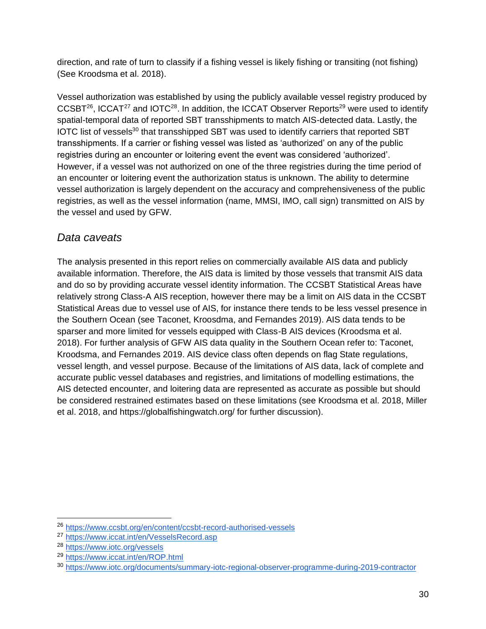direction, and rate of turn to classify if a fishing vessel is likely fishing or transiting (not fishing) (See Kroodsma et al. 2018).

Vessel authorization was established by using the publicly available vessel registry produced by  $CCSBT^{26}$ , ICCAT<sup>27</sup> and IOTC<sup>28</sup>. In addition, the ICCAT Observer Reports<sup>29</sup> were used to identify spatial-temporal data of reported SBT transshipments to match AIS-detected data. Lastly, the IOTC list of vessels<sup>30</sup> that transshipped SBT was used to identify carriers that reported SBT transshipments. If a carrier or fishing vessel was listed as 'authorized' on any of the public registries during an encounter or loitering event the event was considered 'authorized'. However, if a vessel was not authorized on one of the three registries during the time period of an encounter or loitering event the authorization status is unknown. The ability to determine vessel authorization is largely dependent on the accuracy and comprehensiveness of the public registries, as well as the vessel information (name, MMSI, IMO, call sign) transmitted on AIS by the vessel and used by GFW.

### *Data caveats*

The analysis presented in this report relies on commercially available AIS data and publicly available information. Therefore, the AIS data is limited by those vessels that transmit AIS data and do so by providing accurate vessel identity information. The CCSBT Statistical Areas have relatively strong Class-A AIS reception, however there may be a limit on AIS data in the CCSBT Statistical Areas due to vessel use of AIS, for instance there tends to be less vessel presence in the Southern Ocean (see Taconet, Kroosdma, and Fernandes 2019). AIS data tends to be sparser and more limited for vessels equipped with Class-B AIS devices (Kroodsma et al. 2018). For further analysis of GFW AIS data quality in the Southern Ocean refer to: Taconet, Kroodsma, and Fernandes 2019. AIS device class often depends on flag State regulations, vessel length, and vessel purpose. Because of the limitations of AIS data, lack of complete and accurate public vessel databases and registries, and limitations of modelling estimations, the AIS detected encounter, and loitering data are represented as accurate as possible but should be considered restrained estimates based on these limitations (see Kroodsma et al. 2018, Miller et al. 2018, and https://globalfishingwatch.org/ for further discussion).

<sup>26</sup> <https://www.ccsbt.org/en/content/ccsbt-record-authorised-vessels>

<sup>27</sup> <https://www.iccat.int/en/VesselsRecord.asp>

<sup>28</sup> <https://www.iotc.org/vessels>

<sup>29</sup> <https://www.iccat.int/en/ROP.html>

<sup>30</sup> <https://www.iotc.org/documents/summary-iotc-regional-observer-programme-during-2019-contractor>